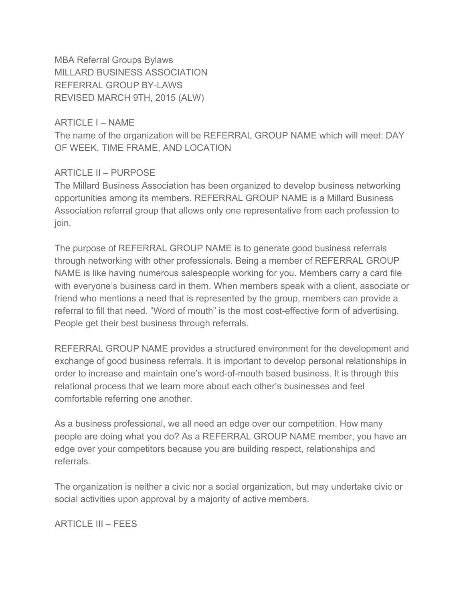MBA Referral Groups Bylaws MILLARD BUSINESS ASSOCIATION REFERRAL GROUP BY-LAWS REVISED MARCH 9TH, 2015 (ALW)

ARTICLE I – NAME

The name of the organization will be REFERRAL GROUP NAME which will meet: DAY OF WEEK, TIME FRAME, AND LOCATION

#### ARTICLE II – PURPOSE

The Millard Business Association has been organized to develop business networking opportunities among its members. REFERRAL GROUP NAME is a Millard Business Association referral group that allows only one representative from each profession to join.

The purpose of REFERRAL GROUP NAME is to generate good business referrals through networking with other professionals. Being a member of REFERRAL GROUP NAME is like having numerous salespeople working for you. Members carry a card file with everyone's business card in them. When members speak with a client, associate or friend who mentions a need that is represented by the group, members can provide a referral to fill that need. "Word of mouth" is the most cost-effective form of advertising. People get their best business through referrals.

REFERRAL GROUP NAME provides a structured environment for the development and exchange of good business referrals. It is important to develop personal relationships in order to increase and maintain one's word-of-mouth based business. It is through this relational process that we learn more about each other's businesses and feel comfortable referring one another.

As a business professional, we all need an edge over our competition. How many people are doing what you do? As a REFERRAL GROUP NAME member, you have an edge over your competitors because you are building respect, relationships and referrals.

The organization is neither a civic nor a social organization, but may undertake civic or social activities upon approval by a majority of active members.

ARTICLE III – FEES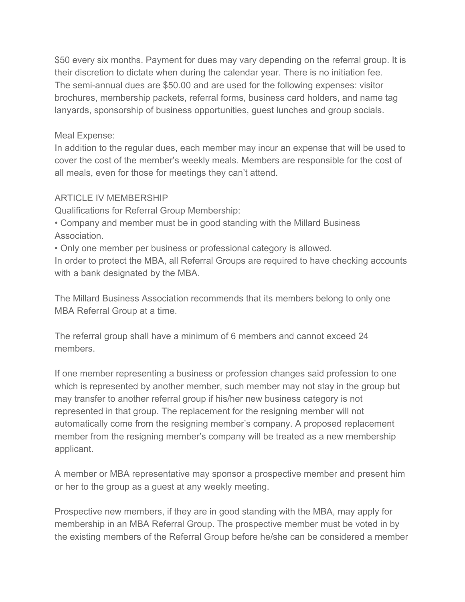\$50 every six months. Payment for dues may vary depending on the referral group. It is their discretion to dictate when during the calendar year. There is no initiation fee. The semi-annual dues are \$50.00 and are used for the following expenses: visitor brochures, membership packets, referral forms, business card holders, and name tag lanyards, sponsorship of business opportunities, guest lunches and group socials.

#### Meal Expense:

In addition to the regular dues, each member may incur an expense that will be used to cover the cost of the member's weekly meals. Members are responsible for the cost of all meals, even for those for meetings they can't attend.

#### ARTICLE IV MEMBERSHIP

Qualifications for Referral Group Membership:

• Company and member must be in good standing with the Millard Business Association.

• Only one member per business or professional category is allowed.

In order to protect the MBA, all Referral Groups are required to have checking accounts with a bank designated by the MBA.

The Millard Business Association recommends that its members belong to only one MBA Referral Group at a time.

The referral group shall have a minimum of 6 members and cannot exceed 24 members.

If one member representing a business or profession changes said profession to one which is represented by another member, such member may not stay in the group but may transfer to another referral group if his/her new business category is not represented in that group. The replacement for the resigning member will not automatically come from the resigning member's company. A proposed replacement member from the resigning member's company will be treated as a new membership applicant.

A member or MBA representative may sponsor a prospective member and present him or her to the group as a guest at any weekly meeting.

Prospective new members, if they are in good standing with the MBA, may apply for membership in an MBA Referral Group. The prospective member must be voted in by the existing members of the Referral Group before he/she can be considered a member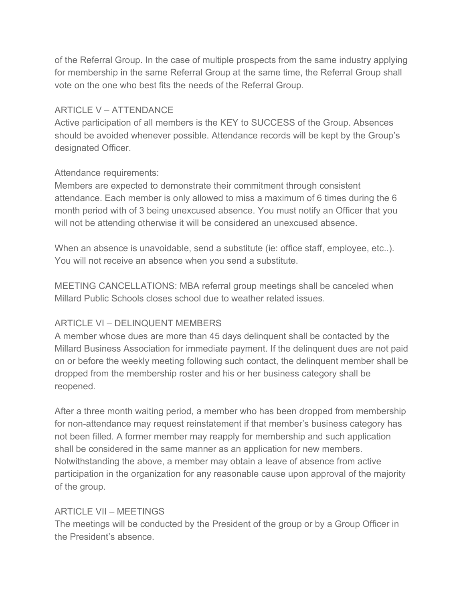of the Referral Group. In the case of multiple prospects from the same industry applying for membership in the same Referral Group at the same time, the Referral Group shall vote on the one who best fits the needs of the Referral Group.

### ARTICLE V – ATTENDANCE

Active participation of all members is the KEY to SUCCESS of the Group. Absences should be avoided whenever possible. Attendance records will be kept by the Group's designated Officer.

#### Attendance requirements:

Members are expected to demonstrate their commitment through consistent attendance. Each member is only allowed to miss a maximum of 6 times during the 6 month period with of 3 being unexcused absence. You must notify an Officer that you will not be attending otherwise it will be considered an unexcused absence.

When an absence is unavoidable, send a substitute (ie: office staff, employee, etc..). You will not receive an absence when you send a substitute.

MEETING CANCELLATIONS: MBA referral group meetings shall be canceled when Millard Public Schools closes school due to weather related issues.

# ARTICLE VI – DELINQUENT MEMBERS

A member whose dues are more than 45 days delinquent shall be contacted by the Millard Business Association for immediate payment. If the delinquent dues are not paid on or before the weekly meeting following such contact, the delinquent member shall be dropped from the membership roster and his or her business category shall be reopened.

After a three month waiting period, a member who has been dropped from membership for non-attendance may request reinstatement if that member's business category has not been filled. A former member may reapply for membership and such application shall be considered in the same manner as an application for new members. Notwithstanding the above, a member may obtain a leave of absence from active participation in the organization for any reasonable cause upon approval of the majority of the group.

# ARTICLE VII – MEETINGS

The meetings will be conducted by the President of the group or by a Group Officer in the President's absence.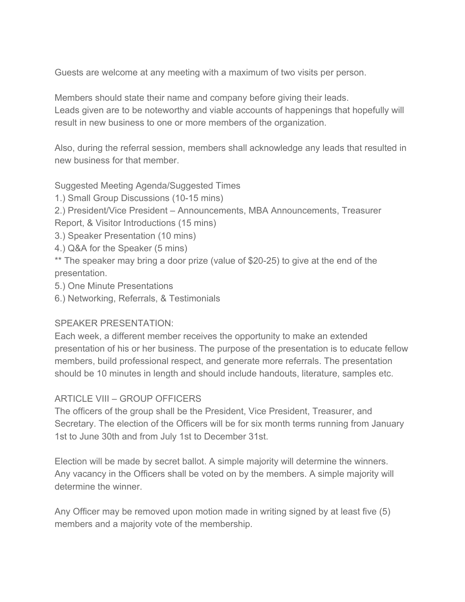Guests are welcome at any meeting with a maximum of two visits per person.

Members should state their name and company before giving their leads. Leads given are to be noteworthy and viable accounts of happenings that hopefully will result in new business to one or more members of the organization.

Also, during the referral session, members shall acknowledge any leads that resulted in new business for that member.

Suggested Meeting Agenda/Suggested Times

- 1.) Small Group Discussions (10-15 mins)
- 2.) President/Vice President Announcements, MBA Announcements, Treasurer

Report, & Visitor Introductions (15 mins)

- 3.) Speaker Presentation (10 mins)
- 4.) Q&A for the Speaker (5 mins)

\*\* The speaker may bring a door prize (value of \$20-25) to give at the end of the presentation.

- 5.) One Minute Presentations
- 6.) Networking, Referrals, & Testimonials

# SPEAKER PRESENTATION:

Each week, a different member receives the opportunity to make an extended presentation of his or her business. The purpose of the presentation is to educate fellow members, build professional respect, and generate more referrals. The presentation should be 10 minutes in length and should include handouts, literature, samples etc.

# ARTICLE VIII – GROUP OFFICERS

The officers of the group shall be the President, Vice President, Treasurer, and Secretary. The election of the Officers will be for six month terms running from January 1st to June 30th and from July 1st to December 31st.

Election will be made by secret ballot. A simple majority will determine the winners. Any vacancy in the Officers shall be voted on by the members. A simple majority will determine the winner.

Any Officer may be removed upon motion made in writing signed by at least five (5) members and a majority vote of the membership.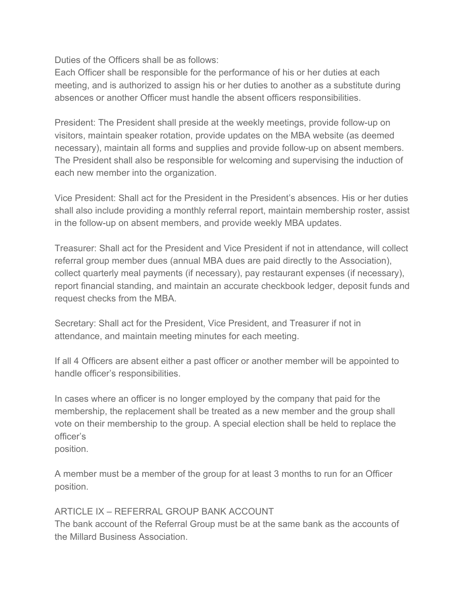Duties of the Officers shall be as follows:

Each Officer shall be responsible for the performance of his or her duties at each meeting, and is authorized to assign his or her duties to another as a substitute during absences or another Officer must handle the absent officers responsibilities.

President: The President shall preside at the weekly meetings, provide follow-up on visitors, maintain speaker rotation, provide updates on the MBA website (as deemed necessary), maintain all forms and supplies and provide follow-up on absent members. The President shall also be responsible for welcoming and supervising the induction of each new member into the organization.

Vice President: Shall act for the President in the President's absences. His or her duties shall also include providing a monthly referral report, maintain membership roster, assist in the follow-up on absent members, and provide weekly MBA updates.

Treasurer: Shall act for the President and Vice President if not in attendance, will collect referral group member dues (annual MBA dues are paid directly to the Association), collect quarterly meal payments (if necessary), pay restaurant expenses (if necessary), report financial standing, and maintain an accurate checkbook ledger, deposit funds and request checks from the MBA.

Secretary: Shall act for the President, Vice President, and Treasurer if not in attendance, and maintain meeting minutes for each meeting.

If all 4 Officers are absent either a past officer or another member will be appointed to handle officer's responsibilities.

In cases where an officer is no longer employed by the company that paid for the membership, the replacement shall be treated as a new member and the group shall vote on their membership to the group. A special election shall be held to replace the officer's

position.

A member must be a member of the group for at least 3 months to run for an Officer position.

# ARTICLE IX – REFERRAL GROUP BANK ACCOUNT

The bank account of the Referral Group must be at the same bank as the accounts of the Millard Business Association.